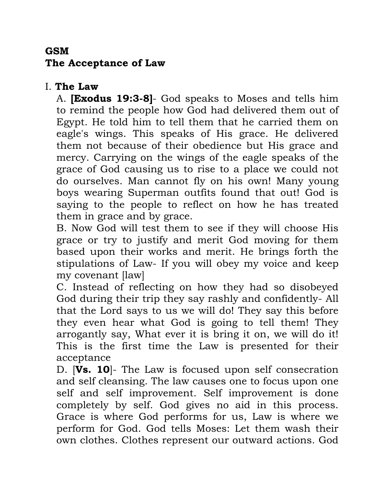## **GSM The Acceptance of Law**

## I. **The Law**

A. **[Exodus 19:3-8]**- God speaks to Moses and tells him to remind the people how God had delivered them out of Egypt. He told him to tell them that he carried them on eagle's wings. This speaks of His grace. He delivered them not because of their obedience but His grace and mercy. Carrying on the wings of the eagle speaks of the grace of God causing us to rise to a place we could not do ourselves. Man cannot fly on his own! Many young boys wearing Superman outfits found that out! God is saying to the people to reflect on how he has treated them in grace and by grace.

B. Now God will test them to see if they will choose His grace or try to justify and merit God moving for them based upon their works and merit. He brings forth the stipulations of Law- If you will obey my voice and keep my covenant [law]

C. Instead of reflecting on how they had so disobeyed God during their trip they say rashly and confidently- All that the Lord says to us we will do! They say this before they even hear what God is going to tell them! They arrogantly say, What ever it is bring it on, we will do it! This is the first time the Law is presented for their acceptance

D. [**Vs. 10**]- The Law is focused upon self consecration and self cleansing. The law causes one to focus upon one self and self improvement. Self improvement is done completely by self. God gives no aid in this process. Grace is where God performs for us, Law is where we perform for God. God tells Moses: Let them wash their own clothes. Clothes represent our outward actions. God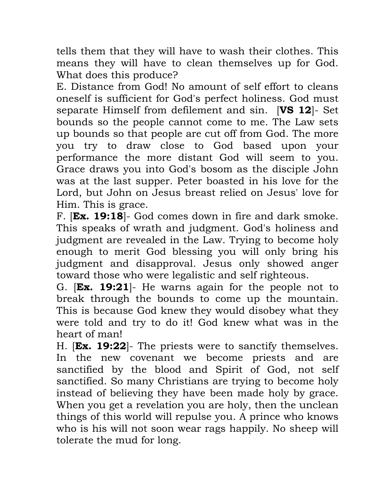tells them that they will have to wash their clothes. This means they will have to clean themselves up for God. What does this produce?

E. Distance from God! No amount of self effort to cleans oneself is sufficient for God's perfect holiness. God must separate Himself from defilement and sin. [**VS 12**]- Set bounds so the people cannot come to me. The Law sets up bounds so that people are cut off from God. The more you try to draw close to God based upon your performance the more distant God will seem to you. Grace draws you into God's bosom as the disciple John was at the last supper. Peter boasted in his love for the Lord, but John on Jesus breast relied on Jesus' love for Him. This is grace.

F. [**Ex. 19:18**]- God comes down in fire and dark smoke. This speaks of wrath and judgment. God's holiness and judgment are revealed in the Law. Trying to become holy enough to merit God blessing you will only bring his judgment and disapproval. Jesus only showed anger toward those who were legalistic and self righteous.

G. [**Ex. 19:21**]- He warns again for the people not to break through the bounds to come up the mountain. This is because God knew they would disobey what they were told and try to do it! God knew what was in the heart of man!

H. [**Ex. 19:22**]- The priests were to sanctify themselves. In the new covenant we become priests and are sanctified by the blood and Spirit of God, not self sanctified. So many Christians are trying to become holy instead of believing they have been made holy by grace. When you get a revelation you are holy, then the unclean things of this world will repulse you. A prince who knows who is his will not soon wear rags happily. No sheep will tolerate the mud for long.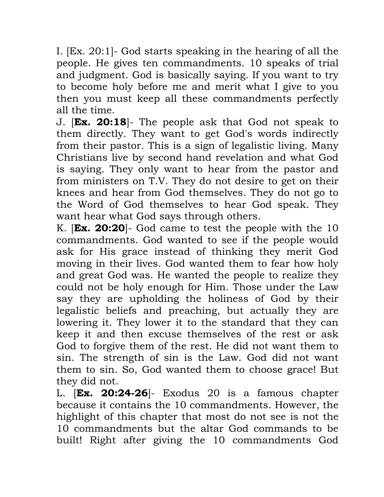I. [Ex. 20:1]- God starts speaking in the hearing of all the people. He gives ten commandments. 10 speaks of trial and judgment. God is basically saying. If you want to try to become holy before me and merit what I give to you then you must keep all these commandments perfectly all the time.

J. [**Ex. 20:18**]- The people ask that God not speak to them directly. They want to get God's words indirectly from their pastor. This is a sign of legalistic living. Many Christians live by second hand revelation and what God is saying. They only want to hear from the pastor and from ministers on T.V. They do not desire to get on their knees and hear from God themselves. They do not go to the Word of God themselves to hear God speak. They want hear what God says through others.

K. [**Ex. 20:20**]- God came to test the people with the 10 commandments. God wanted to see if the people would ask for His grace instead of thinking they merit God moving in their lives. God wanted them to fear how holy and great God was. He wanted the people to realize they could not be holy enough for Him. Those under the Law say they are upholding the holiness of God by their legalistic beliefs and preaching, but actually they are lowering it. They lower it to the standard that they can keep it and then excuse themselves of the rest or ask God to forgive them of the rest. He did not want them to sin. The strength of sin is the Law. God did not want them to sin. So, God wanted them to choose grace! But they did not.

L. [**Ex. 20:24-26**]- Exodus 20 is a famous chapter because it contains the 10 commandments. However, the highlight of this chapter that most do not see is not the 10 commandments but the altar God commands to be built! Right after giving the 10 commandments God